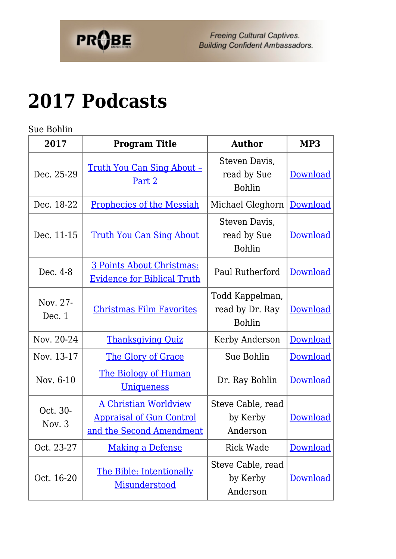

## **[2017 Podcasts](https://probe.org/2017-podcasts/)**

Sue Bohlin

| 2017                 | <b>Program Title</b>                                                                        | <b>Author</b>                                       | MP3             |
|----------------------|---------------------------------------------------------------------------------------------|-----------------------------------------------------|-----------------|
| Dec. 25-29           | <u>Truth You Can Sing About -</u><br><u>Part 2</u>                                          | Steven Davis,<br>read by Sue<br><b>Bohlin</b>       | <b>Download</b> |
| Dec. 18-22           | <b>Prophecies of the Messiah</b>                                                            | Michael Gleghorn                                    | Download        |
| Dec. 11-15           | <u>Truth You Can Sing About</u>                                                             | Steven Davis,<br>read by Sue<br><b>Bohlin</b>       | <b>Download</b> |
| Dec. 4-8             | 3 Points About Christmas:<br><b>Evidence for Biblical Truth</b>                             | Paul Rutherford                                     | Download        |
| Nov. 27-<br>Dec. 1   | <b>Christmas Film Favorites</b>                                                             | Todd Kappelman,<br>read by Dr. Ray<br><b>Bohlin</b> | Download        |
| Nov. 20-24           | <b>Thanksgiving Quiz</b>                                                                    | Kerby Anderson                                      | <b>Download</b> |
| Nov. 13-17           | The Glory of Grace                                                                          | Sue Bohlin                                          | Download        |
| Nov. 6-10            | <u>The Biology of Human</u><br><u>Uniqueness</u>                                            | Dr. Ray Bohlin                                      | Download        |
| Oct. 30-<br>Nov. $3$ | <b>A Christian Worldview</b><br><b>Appraisal of Gun Control</b><br>and the Second Amendment | Steve Cable, read<br>by Kerby<br>Anderson           | Download        |
| Oct. 23-27           | <b>Making a Defense</b>                                                                     | <b>Rick Wade</b>                                    | <b>Download</b> |
| Oct. 16-20           | The Bible: Intentionally<br>Misunderstood                                                   | Steve Cable, read<br>by Kerby<br>Anderson           | <b>Download</b> |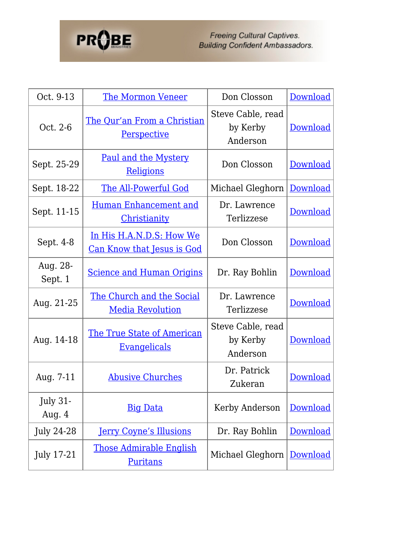## **PROBE**

Freeing Cultural Captives.<br>Building Confident Ambassadors.

| Oct. 9-13                   | <b>The Mormon Veneer</b>                                      | Don Closson                               | Download        |
|-----------------------------|---------------------------------------------------------------|-------------------------------------------|-----------------|
| Oct. 2-6                    | The Qur'an From a Christian<br><b>Perspective</b>             | Steve Cable, read<br>by Kerby<br>Anderson | <b>Download</b> |
| Sept. 25-29                 | <u>Paul and the Mystery</u><br>Religions                      | Don Closson                               | Download        |
| Sept. 18-22                 | <b>The All-Powerful God</b>                                   | Michael Gleghorn                          | <b>Download</b> |
| Sept. 11-15                 | <u>Human Enhancement and</u><br><b>Christianity</b>           | Dr. Lawrence<br>Terlizzese                | Download        |
| Sept. 4-8                   | In His H.A.N.D.S: How We<br><u>Can Know that Jesus is God</u> | Don Closson                               | Download        |
| Aug. 28-<br>Sept. 1         | <b>Science and Human Origins</b>                              | Dr. Ray Bohlin                            | Download        |
| Aug. 21-25                  | <u>The Church and the Social</u><br><b>Media Revolution</b>   | Dr. Lawrence<br>Terlizzese                | Download        |
| Aug. 14-18                  | <u>The True State of American</u><br><u>Evangelicals</u>      | Steve Cable, read<br>by Kerby<br>Anderson | Download        |
| Aug. 7-11                   | <b>Abusive Churches</b>                                       | Dr. Patrick<br>Zukeran                    | Download        |
| <b>July 31-</b><br>Aug. $4$ | <b>Big Data</b>                                               | Kerby Anderson                            | Download        |
| <b>July 24-28</b>           | <b>Jerry Coyne's Illusions</b>                                | Dr. Ray Bohlin                            | <b>Download</b> |
| <b>July 17-21</b>           | <u>Those Admirable English</u><br><b>Puritans</b>             | Michael Gleghorn                          | Download        |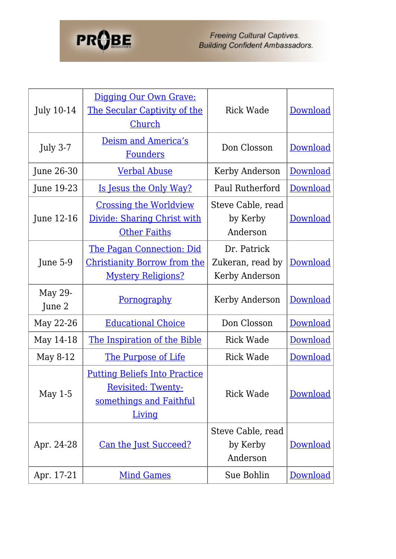

Freeing Cultural Captives.<br>Building Confident Ambassadors.

| <b>July 10-14</b> | Digging Our Own Grave:<br>The Secular Captivity of the<br>Church                                       | <b>Rick Wade</b>                                  | Download        |
|-------------------|--------------------------------------------------------------------------------------------------------|---------------------------------------------------|-----------------|
| <b>July 3-7</b>   | Deism and America's<br><b>Founders</b>                                                                 | Don Closson                                       | Download        |
| June 26-30        | <b>Verbal Abuse</b>                                                                                    | Kerby Anderson                                    | Download        |
| June 19-23        | Is Jesus the Only Way?                                                                                 | Paul Rutherford                                   | Download        |
| June 12-16        | <b>Crossing the Worldview</b><br>Divide: Sharing Christ with<br><b>Other Faiths</b>                    | Steve Cable, read<br>by Kerby<br>Anderson         | Download        |
| June 5-9          | <u>The Pagan Connection: Did</u><br><b>Christianity Borrow from the</b><br><b>Mystery Religions?</b>   | Dr. Patrick<br>Zukeran, read by<br>Kerby Anderson | Download        |
| May 29-<br>June 2 | <u>Pornography</u>                                                                                     | Kerby Anderson                                    | Download        |
| May 22-26         | <b>Educational Choice</b>                                                                              | Don Closson                                       | Download        |
| May 14-18         | The Inspiration of the Bible                                                                           | Rick Wade                                         | Download        |
| May 8-12          | <u>The Purpose of Life</u>                                                                             | <b>Rick Wade</b>                                  | Download        |
| May $1-5$         | <b>Putting Beliefs Into Practice</b><br><b>Revisited: Twenty-</b><br>somethings and Faithful<br>Living | <b>Rick Wade</b>                                  | <b>Download</b> |
| Apr. 24-28        | <u>Can the Just Succeed?</u>                                                                           | Steve Cable, read<br>by Kerby<br>Anderson         | Download        |
| Apr. 17-21        | <b>Mind Games</b>                                                                                      | Sue Bohlin                                        | <b>Download</b> |